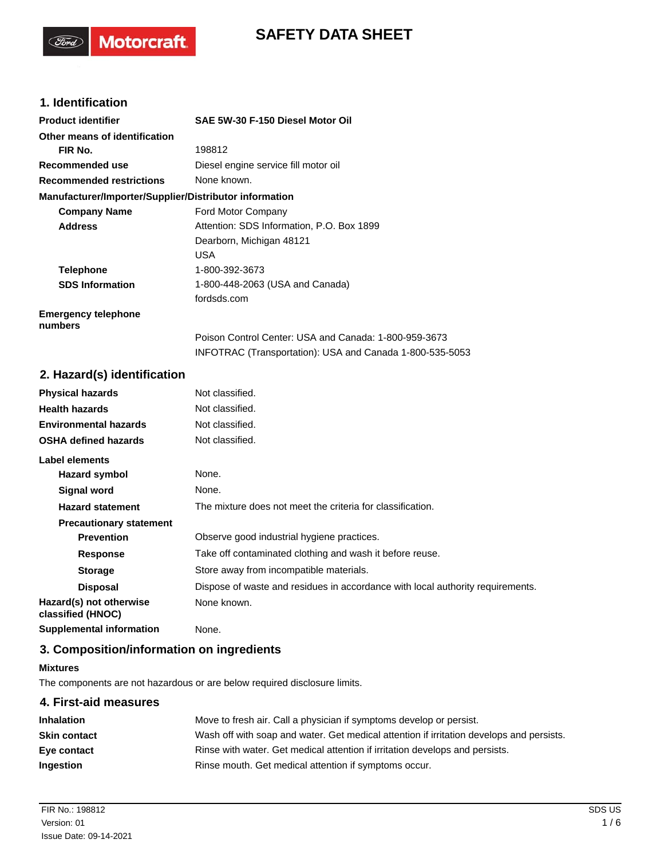# **SAFETY DATA SHEET**

## **1. Identification**

**Motorcraft** 

| <b>Product identifier</b>                              | SAE 5W-30 F-150 Diesel Motor Oil                         |
|--------------------------------------------------------|----------------------------------------------------------|
| Other means of identification                          |                                                          |
| FIR No.                                                | 198812                                                   |
| Recommended use                                        | Diesel engine service fill motor oil                     |
| <b>Recommended restrictions</b>                        | None known.                                              |
| Manufacturer/Importer/Supplier/Distributor information |                                                          |
| <b>Company Name</b>                                    | Ford Motor Company                                       |
| <b>Address</b>                                         | Attention: SDS Information, P.O. Box 1899                |
|                                                        | Dearborn, Michigan 48121                                 |
|                                                        | <b>USA</b>                                               |
| <b>Telephone</b>                                       | 1-800-392-3673                                           |
| <b>SDS Information</b>                                 | 1-800-448-2063 (USA and Canada)                          |
|                                                        | fordsds.com                                              |
| <b>Emergency telephone</b><br>numbers                  |                                                          |
|                                                        | Poison Control Center: USA and Canada: 1-800-959-3673    |
|                                                        | INFOTRAC (Transportation): USA and Canada 1-800-535-5053 |

## **2. Hazard(s) identification**

| <b>Physical hazards</b>                      | Not classified.                                                                |
|----------------------------------------------|--------------------------------------------------------------------------------|
| <b>Health hazards</b>                        | Not classified.                                                                |
| <b>Environmental hazards</b>                 | Not classified.                                                                |
| <b>OSHA defined hazards</b>                  | Not classified.                                                                |
| Label elements                               |                                                                                |
| Hazard symbol                                | None.                                                                          |
| Signal word                                  | None.                                                                          |
| <b>Hazard statement</b>                      | The mixture does not meet the criteria for classification.                     |
| <b>Precautionary statement</b>               |                                                                                |
| <b>Prevention</b>                            | Observe good industrial hygiene practices.                                     |
| <b>Response</b>                              | Take off contaminated clothing and wash it before reuse.                       |
| <b>Storage</b>                               | Store away from incompatible materials.                                        |
| <b>Disposal</b>                              | Dispose of waste and residues in accordance with local authority requirements. |
| Hazard(s) not otherwise<br>classified (HNOC) | None known.                                                                    |
| <b>Supplemental information</b>              | None.                                                                          |

## **3. Composition/information on ingredients**

#### **Mixtures**

The components are not hazardous or are below required disclosure limits.

# **4. First-aid measures Inhalation** Move to fresh air. Call a physician if symptoms develop or persist. **Skin contact** Wash off with soap and water. Get medical attention if irritation develops and persists. **Eye contact Rinse with water. Get medical attention if irritation develops and persists. Ingestion** Rinse mouth. Get medical attention if symptoms occur.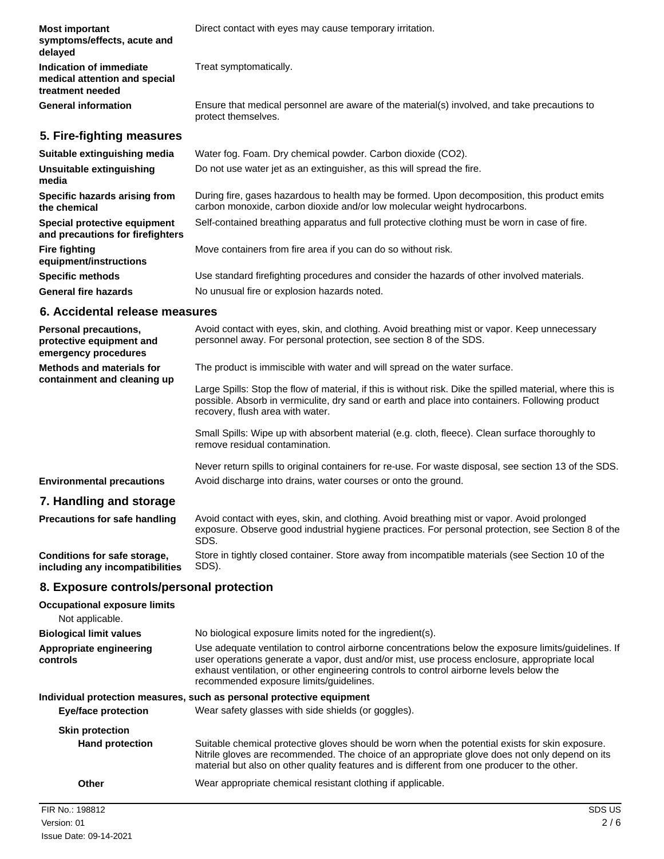| <b>Most important</b><br>symptoms/effects, acute and<br>delayed              | Direct contact with eyes may cause temporary irritation.                                                                                                                  |
|------------------------------------------------------------------------------|---------------------------------------------------------------------------------------------------------------------------------------------------------------------------|
| Indication of immediate<br>medical attention and special<br>treatment needed | Treat symptomatically.                                                                                                                                                    |
| <b>General information</b>                                                   | Ensure that medical personnel are aware of the material(s) involved, and take precautions to<br>protect themselves.                                                       |
| 5. Fire-fighting measures                                                    |                                                                                                                                                                           |
| Suitable extinguishing media                                                 | Water fog. Foam. Dry chemical powder. Carbon dioxide (CO2).                                                                                                               |
| Unsuitable extinguishing<br>media                                            | Do not use water jet as an extinguisher, as this will spread the fire.                                                                                                    |
| Specific hazards arising from<br>the chemical                                | During fire, gases hazardous to health may be formed. Upon decomposition, this product emits<br>carbon monoxide, carbon dioxide and/or low molecular weight hydrocarbons. |
| Special protective equipment<br>and precautions for firefighters             | Self-contained breathing apparatus and full protective clothing must be worn in case of fire.                                                                             |
| <b>Fire fighting</b><br>equipment/instructions                               | Move containers from fire area if you can do so without risk.                                                                                                             |
| <b>Specific methods</b>                                                      | Use standard firefighting procedures and consider the hazards of other involved materials.                                                                                |
| <b>General fire hazards</b>                                                  | No unusual fire or explosion hazards noted.                                                                                                                               |
| 6. Accidental release measures                                               |                                                                                                                                                                           |

| Personal precautions,<br>protective equipment and<br>emergency procedures | Avoid contact with eyes, skin, and clothing. Avoid breathing mist or vapor. Keep unnecessary<br>personnel away. For personal protection, see section 8 of the SDS.                                                                                |
|---------------------------------------------------------------------------|---------------------------------------------------------------------------------------------------------------------------------------------------------------------------------------------------------------------------------------------------|
| <b>Methods and materials for</b>                                          | The product is immiscible with water and will spread on the water surface.                                                                                                                                                                        |
| containment and cleaning up                                               | Large Spills: Stop the flow of material, if this is without risk. Dike the spilled material, where this is<br>possible. Absorb in vermiculite, dry sand or earth and place into containers. Following product<br>recovery, flush area with water. |
|                                                                           | Small Spills: Wipe up with absorbent material (e.g. cloth, fleece). Clean surface thoroughly to<br>remove residual contamination.                                                                                                                 |
|                                                                           | Never return spills to original containers for re-use. For waste disposal, see section 13 of the SDS.                                                                                                                                             |
| <b>Environmental precautions</b>                                          | Avoid discharge into drains, water courses or onto the ground.                                                                                                                                                                                    |
| 7. Handling and storage                                                   |                                                                                                                                                                                                                                                   |
| <b>Precautions for safe handling</b>                                      | Avoid contact with eyes, skin, and clothing. Avoid breathing mist or vapor. Avoid prolonged<br>exposure. Observe good industrial hygiene practices. For personal protection, see Section 8 of the<br>SDS.                                         |
| Conditions for safe storage,                                              | Store in tightly closed container. Store away from incompatible materials (see Section 10 of the                                                                                                                                                  |

**Conditions for safe storage, including any incompatibilities**

# **8. Exposure controls/personal protection**

SDS).

| <b>Occupational exposure limits</b><br>Not applicable. |                                                                                                                                                                                                                                                                                                                                            |  |
|--------------------------------------------------------|--------------------------------------------------------------------------------------------------------------------------------------------------------------------------------------------------------------------------------------------------------------------------------------------------------------------------------------------|--|
| <b>Biological limit values</b>                         | No biological exposure limits noted for the ingredient(s).                                                                                                                                                                                                                                                                                 |  |
| Appropriate engineering<br>controls                    | Use adequate ventilation to control airborne concentrations below the exposure limits/quidelines. If<br>user operations generate a vapor, dust and/or mist, use process enclosure, appropriate local<br>exhaust ventilation, or other engineering controls to control airborne levels below the<br>recommended exposure limits/quidelines. |  |
|                                                        | Individual protection measures, such as personal protective equipment                                                                                                                                                                                                                                                                      |  |
| <b>Eye/face protection</b>                             | Wear safety glasses with side shields (or goggles).                                                                                                                                                                                                                                                                                        |  |
| <b>Skin protection</b>                                 |                                                                                                                                                                                                                                                                                                                                            |  |
| <b>Hand protection</b>                                 | Suitable chemical protective gloves should be worn when the potential exists for skin exposure.<br>Nitrile gloves are recommended. The choice of an appropriate glove does not only depend on its<br>material but also on other quality features and is different from one producer to the other.                                          |  |
| Other                                                  | Wear appropriate chemical resistant clothing if applicable.                                                                                                                                                                                                                                                                                |  |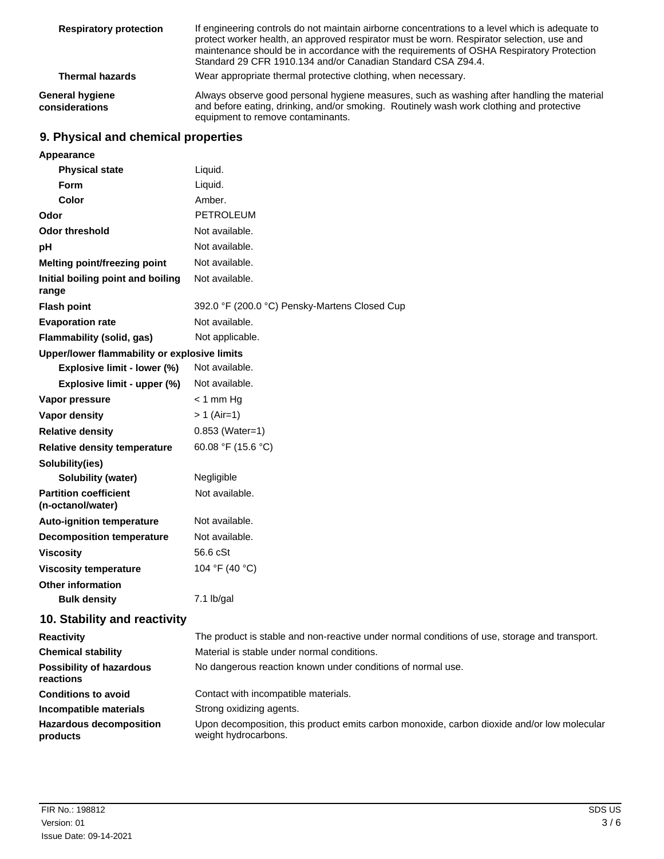| <b>Respiratory protection</b>     | If engineering controls do not maintain airborne concentrations to a level which is adequate to<br>protect worker health, an approved respirator must be worn. Respirator selection, use and<br>maintenance should be in accordance with the requirements of OSHA Respiratory Protection<br>Standard 29 CFR 1910.134 and/or Canadian Standard CSA Z94.4. |
|-----------------------------------|----------------------------------------------------------------------------------------------------------------------------------------------------------------------------------------------------------------------------------------------------------------------------------------------------------------------------------------------------------|
| <b>Thermal hazards</b>            | Wear appropriate thermal protective clothing, when necessary.                                                                                                                                                                                                                                                                                            |
| General hygiene<br>considerations | Always observe good personal hygiene measures, such as washing after handling the material<br>and before eating, drinking, and/or smoking. Routinely wash work clothing and protective<br>equipment to remove contaminants.                                                                                                                              |

## **9. Physical and chemical properties**

| Appearance                                        |                                               |  |
|---------------------------------------------------|-----------------------------------------------|--|
| <b>Physical state</b>                             | Liquid.                                       |  |
| <b>Form</b>                                       | Liquid.                                       |  |
| Color                                             | Amber.                                        |  |
| Odor                                              | <b>PETROLEUM</b>                              |  |
| <b>Odor threshold</b>                             | Not available.                                |  |
| рH                                                | Not available.                                |  |
| Melting point/freezing point                      | Not available.                                |  |
| Initial boiling point and boiling<br>range        | Not available.                                |  |
| <b>Flash point</b>                                | 392.0 °F (200.0 °C) Pensky-Martens Closed Cup |  |
| <b>Evaporation rate</b>                           | Not available.                                |  |
| <b>Flammability (solid, gas)</b>                  | Not applicable.                               |  |
| Upper/lower flammability or explosive limits      |                                               |  |
| Explosive limit - lower (%)                       | Not available.                                |  |
| Explosive limit - upper (%)                       | Not available.                                |  |
| Vapor pressure                                    | $<$ 1 mm Hg                                   |  |
| <b>Vapor density</b>                              | $> 1$ (Air=1)                                 |  |
| <b>Relative density</b>                           | $0.853$ (Water=1)                             |  |
| <b>Relative density temperature</b>               | 60.08 °F (15.6 °C)                            |  |
| Solubility(ies)                                   |                                               |  |
| Solubility (water)                                | Negligible                                    |  |
| <b>Partition coefficient</b><br>(n-octanol/water) | Not available.                                |  |
| <b>Auto-ignition temperature</b>                  | Not available.                                |  |
| <b>Decomposition temperature</b>                  | Not available.                                |  |
| <b>Viscosity</b>                                  | 56.6 cSt                                      |  |
| <b>Viscosity temperature</b>                      | 104 °F (40 °C)                                |  |
| <b>Other information</b>                          |                                               |  |
| <b>Bulk density</b>                               | $7.1$ lb/gal                                  |  |
| 10. Stability and reactivity                      |                                               |  |

# **Reactivity** The product is stable and non-reactive under normal conditions of use, storage and transport.

| <b>Chemical stability</b>                  | Material is stable under normal conditions.                                                                         |
|--------------------------------------------|---------------------------------------------------------------------------------------------------------------------|
| Possibility of hazardous<br>reactions      | No dangerous reaction known under conditions of normal use.                                                         |
| <b>Conditions to avoid</b>                 | Contact with incompatible materials.                                                                                |
| Incompatible materials                     | Strong oxidizing agents.                                                                                            |
| <b>Hazardous decomposition</b><br>products | Upon decomposition, this product emits carbon monoxide, carbon dioxide and/or low molecular<br>weight hydrocarbons. |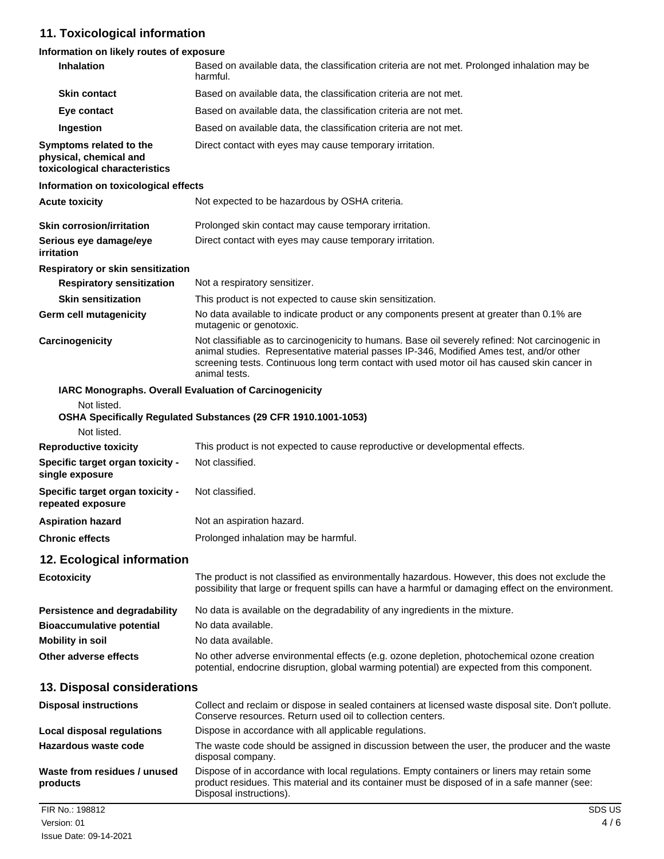# **11. Toxicological information**

## **Information on likely routes of exposure**

| <b>Inhalation</b>                                                                  | Based on available data, the classification criteria are not met. Prolonged inhalation may be<br>harmful.                                                                                                                                                                                                   |
|------------------------------------------------------------------------------------|-------------------------------------------------------------------------------------------------------------------------------------------------------------------------------------------------------------------------------------------------------------------------------------------------------------|
| <b>Skin contact</b>                                                                | Based on available data, the classification criteria are not met.                                                                                                                                                                                                                                           |
| Eye contact                                                                        | Based on available data, the classification criteria are not met.                                                                                                                                                                                                                                           |
| Ingestion                                                                          | Based on available data, the classification criteria are not met.                                                                                                                                                                                                                                           |
| Symptoms related to the<br>physical, chemical and<br>toxicological characteristics | Direct contact with eyes may cause temporary irritation.                                                                                                                                                                                                                                                    |
| Information on toxicological effects                                               |                                                                                                                                                                                                                                                                                                             |
| <b>Acute toxicity</b>                                                              | Not expected to be hazardous by OSHA criteria.                                                                                                                                                                                                                                                              |
| <b>Skin corrosion/irritation</b>                                                   | Prolonged skin contact may cause temporary irritation.                                                                                                                                                                                                                                                      |
| Serious eye damage/eye<br>irritation                                               | Direct contact with eyes may cause temporary irritation.                                                                                                                                                                                                                                                    |
| Respiratory or skin sensitization                                                  |                                                                                                                                                                                                                                                                                                             |
| <b>Respiratory sensitization</b>                                                   | Not a respiratory sensitizer.                                                                                                                                                                                                                                                                               |
| <b>Skin sensitization</b>                                                          | This product is not expected to cause skin sensitization.                                                                                                                                                                                                                                                   |
| Germ cell mutagenicity                                                             | No data available to indicate product or any components present at greater than 0.1% are<br>mutagenic or genotoxic.                                                                                                                                                                                         |
| Carcinogenicity                                                                    | Not classifiable as to carcinogenicity to humans. Base oil severely refined: Not carcinogenic in<br>animal studies. Representative material passes IP-346, Modified Ames test, and/or other<br>screening tests. Continuous long term contact with used motor oil has caused skin cancer in<br>animal tests. |
|                                                                                    | IARC Monographs. Overall Evaluation of Carcinogenicity                                                                                                                                                                                                                                                      |
| Not listed.<br>Not listed.                                                         | OSHA Specifically Regulated Substances (29 CFR 1910.1001-1053)                                                                                                                                                                                                                                              |
| <b>Reproductive toxicity</b>                                                       | This product is not expected to cause reproductive or developmental effects.                                                                                                                                                                                                                                |
| Specific target organ toxicity -<br>single exposure                                | Not classified.                                                                                                                                                                                                                                                                                             |
| Specific target organ toxicity -<br>repeated exposure                              | Not classified.                                                                                                                                                                                                                                                                                             |
| <b>Aspiration hazard</b>                                                           | Not an aspiration hazard.                                                                                                                                                                                                                                                                                   |
| <b>Chronic effects</b>                                                             | Prolonged inhalation may be harmful.                                                                                                                                                                                                                                                                        |
| 12. Ecological information                                                         |                                                                                                                                                                                                                                                                                                             |
| <b>Ecotoxicity</b>                                                                 | The product is not classified as environmentally hazardous. However, this does not exclude the<br>possibility that large or frequent spills can have a harmful or damaging effect on the environment.                                                                                                       |
| <b>Persistence and degradability</b>                                               | No data is available on the degradability of any ingredients in the mixture.                                                                                                                                                                                                                                |
| <b>Bioaccumulative potential</b>                                                   | No data available.                                                                                                                                                                                                                                                                                          |
| <b>Mobility in soil</b>                                                            | No data available.                                                                                                                                                                                                                                                                                          |
| Other adverse effects                                                              | No other adverse environmental effects (e.g. ozone depletion, photochemical ozone creation<br>potential, endocrine disruption, global warming potential) are expected from this component.                                                                                                                  |
| 13. Disposal considerations                                                        |                                                                                                                                                                                                                                                                                                             |
| <b>Disposal instructions</b>                                                       | Collect and reclaim or dispose in sealed containers at licensed waste disposal site. Don't pollute.<br>Conserve resources. Return used oil to collection centers.                                                                                                                                           |
| <b>Local disposal regulations</b>                                                  | Dispose in accordance with all applicable regulations.                                                                                                                                                                                                                                                      |
| Hazardous waste code                                                               | The waste code should be assigned in discussion between the user, the producer and the waste<br>disposal company.                                                                                                                                                                                           |
| Waste from residues / unused<br>products                                           | Dispose of in accordance with local regulations. Empty containers or liners may retain some<br>product residues. This material and its container must be disposed of in a safe manner (see:<br>Disposal instructions).                                                                                      |
| FIR No.: 198812                                                                    | SDS US                                                                                                                                                                                                                                                                                                      |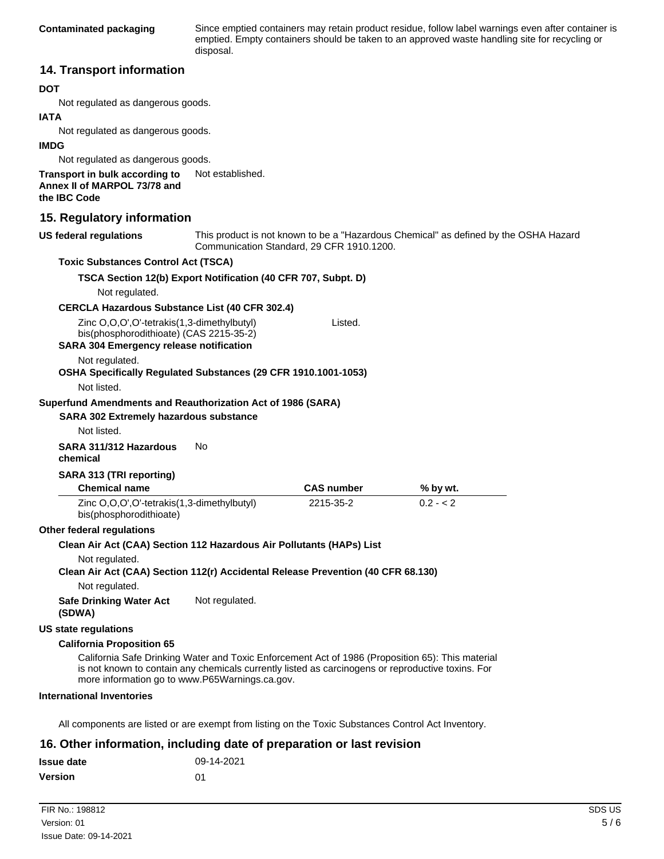Since emptied containers may retain product residue, follow label warnings even after container is emptied. Empty containers should be taken to an approved waste handling site for recycling or disposal.

## **14. Transport information**

#### **DOT**

Not regulated as dangerous goods.

#### **IATA**

Not regulated as dangerous goods.

#### **IMDG**

Not regulated as dangerous goods.

#### **Transport in bulk according to** Not established. **Annex II of MARPOL 73/78 and**

**the IBC Code**

### **15. Regulatory information**

#### **US federal regulations**

This product is not known to be a "Hazardous Chemical" as defined by the OSHA Hazard Communication Standard, 29 CFR 1910.1200.

Listed.

#### **Toxic Substances Control Act (TSCA)**

| TSCA Section 12(b) Export Notification (40 CFR 707, Subpt. D) |  |
|---------------------------------------------------------------|--|
|---------------------------------------------------------------|--|

Not regulated.

#### **CERCLA Hazardous Substance List (40 CFR 302.4)**

Zinc O,O,O',O'-tetrakis(1,3-dimethylbutyl) bis(phosphorodithioate) (CAS 2215-35-2)

**SARA 304 Emergency release notification**

Not regulated.

**OSHA Specifically Regulated Substances (29 CFR 1910.1001-1053)**

Not listed.

#### **Superfund Amendments and Reauthorization Act of 1986 (SARA)**

#### **SARA 302 Extremely hazardous substance**

Not listed.

# **SARA 311/312 Hazardous** No

**chemical**

#### **SARA 313 (TRI reporting)**

| <b>Chemical name</b>                       | <b>CAS</b> number | % by wt.    |  |
|--------------------------------------------|-------------------|-------------|--|
| Zinc O,O,O',O'-tetrakis(1,3-dimethylbutyl) | 2215-35-2         | $0.2 - 5.2$ |  |
| bis(phosphorodithioate)                    |                   |             |  |

#### **Other federal regulations**

#### **Clean Air Act (CAA) Section 112 Hazardous Air Pollutants (HAPs) List**

Not regulated.

#### **Clean Air Act (CAA) Section 112(r) Accidental Release Prevention (40 CFR 68.130)**

Not regulated.

**Safe Drinking Water Act** Not regulated. **(SDWA)**

#### **US state regulations**

#### **California Proposition 65**

California Safe Drinking Water and Toxic Enforcement Act of 1986 (Proposition 65): This material is not known to contain any chemicals currently listed as carcinogens or reproductive toxins. For more information go to www.P65Warnings.ca.gov.

#### **International Inventories**

All components are listed or are exempt from listing on the Toxic Substances Control Act Inventory.

## **16. Other information, including date of preparation or last revision**

| <b>Issue date</b> | 09-14-2021 |
|-------------------|------------|
| <b>Version</b>    | 01         |